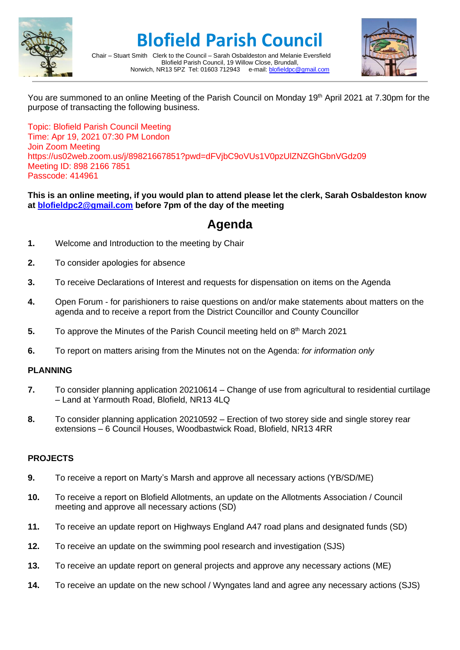

# **Blofield Parish Council**



Chair – Stuart Smith Clerk to the Council – Sarah Osbaldeston and Melanie Eversfield Blofield Parish Council, 19 Willow Close, Brundall, Norwich, NR13 5PZ Tel: 01603 712943 e-mail: [blofieldpc@gmail.com](mailto:blofieldpc@gmail.com)

You are summoned to an online Meeting of the Parish Council on Monday 19th April 2021 at 7.30pm for the purpose of transacting the following business.

Topic: Blofield Parish Council Meeting Time: Apr 19, 2021 07:30 PM London Join Zoom Meeting https://us02web.zoom.us/j/89821667851?pwd=dFVjbC9oVUs1V0pzUlZNZGhGbnVGdz09 Meeting ID: 898 2166 7851 Passcode: 414961

#### **This is an online meeting, if you would plan to attend please let the clerk, Sarah Osbaldeston know at [blofieldpc2@gmail.com](mailto:blofieldpc2@gmail.com) before 7pm of the day of the meeting**

# **Agenda**

- **1.** Welcome and Introduction to the meeting by Chair
- **2.** To consider apologies for absence
- **3.** To receive Declarations of Interest and requests for dispensation on items on the Agenda
- **4.** Open Forum for parishioners to raise questions on and/or make statements about matters on the agenda and to receive a report from the District Councillor and County Councillor
- **5.** To approve the Minutes of the Parish Council meeting held on 8<sup>th</sup> March 2021
- **6.** To report on matters arising from the Minutes not on the Agenda: *for information only*

## **PLANNING**

- **7.** To consider planning application 20210614 Change of use from agricultural to residential curtilage – Land at Yarmouth Road, Blofield, NR13 4LQ
- **8.** To consider planning application 20210592 Erection of two storey side and single storey rear extensions – 6 Council Houses, Woodbastwick Road, Blofield, NR13 4RR

## **PROJECTS**

- **9.** To receive a report on Marty's Marsh and approve all necessary actions (YB/SD/ME)
- **10.** To receive a report on Blofield Allotments, an update on the Allotments Association / Council meeting and approve all necessary actions (SD)
- **11.** To receive an update report on Highways England A47 road plans and designated funds (SD)
- **12.** To receive an update on the swimming pool research and investigation (SJS)
- **13.** To receive an update report on general projects and approve any necessary actions (ME)
- **14.** To receive an update on the new school / Wyngates land and agree any necessary actions (SJS)